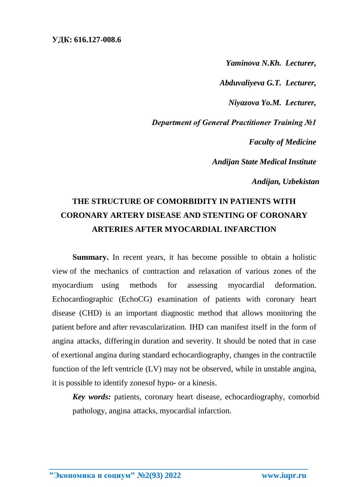*Yaminova N.Kh. Lecturer,*

*Abduvaliyeva G.T. Lecturer,*

*Niyazova Yo.M. Lecturer,*

*Department of General Practitioner Training №1*

*Faculty of Medicine*

*Andijan State Medical Institute*

*Andijan, Uzbekistan*

## **THE STRUCTURE OF COMORBIDITY IN PATIENTS WITH CORONARY ARTERY DISEASE AND STENTING OF CORONARY ARTERIES AFTER MYOCARDIAL INFARCTION**

**Summary.** In recent years, it has become possible to obtain a holistic view of the mechanics of contraction and relaxation of various zones of the myocardium using methods for assessing myocardial deformation. Echocardiographic (EchoCG) examination of patients with coronary heart disease (CHD) is an important diagnostic method that allows monitoring the patient before and after revascularization. IHD can manifest itself in the form of angina attacks, differingin duration and severity. It should be noted that in case of exertional angina during standard echocardiography, changes in the contractile function of the left ventricle (LV) may not be observed, while in unstable angina, it is possible to identify zonesof hypo- or a kinesis.

*Key words:* patients, coronary heart disease, echocardiography, comorbid pathology, angina attacks, myocardial infarction.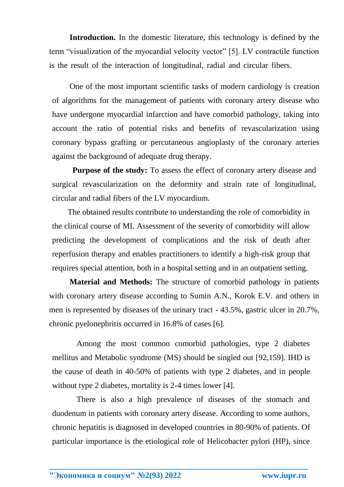**Introduction.** In the domestic literature, this technology is defined by the term "visualization of the myocardial velocity vector" [5]. LV contractile function is the result of the interaction of longitudinal, radial and circular fibers.

One of the most important scientific tasks of modern cardiology is creation of algorithms for the management of patients with coronary artery disease who have undergone myocardial infarction and have comorbid pathology, taking into account the ratio of potential risks and benefits of revascularization using coronary bypass grafting or percutaneous angioplasty of the coronary arteries against the background of adequate drug therapy.

**Purpose of the study:** To assess the effect of coronary artery disease and surgical revascularization on the deformity and strain rate of longitudinal, circular and radial fibers of the LV myocardium.

The obtained results contribute to understanding the role of comorbidity in the clinical course of MI. Assessment of the severity of comorbidity will allow predicting the development of complications and the risk of death after reperfusion therapy and enables practitioners to identify a high-risk group that requires special attention, both in a hospital setting and in an outpatient setting.

**Material and Methods:** The structure of comorbid pathology in patients with coronary artery disease according to Sumin A.N., Korok E.V. and others in men is represented by diseases of the urinary tract - 43.5%, gastric ulcer in 20.7%, chronic pyelonephritis occurred in 16.8% of cases [6].

Among the most common comorbid pathologies, type 2 diabetes mellitus and Metabolic syndrome (MS) should be singled out [92,159]. IHD is the cause of death in 40-50% of patients with type 2 diabetes, and in people without type 2 diabetes, mortality is 2-4 times lower [4].

There is also a high prevalence of diseases of the stomach and duodenum in patients with coronary artery disease. According to some authors, chronic hepatitis is diagnosed in developed countries in 80-90% of patients. Of particular importance is the etiological role of Helicobacter pylori (HP), since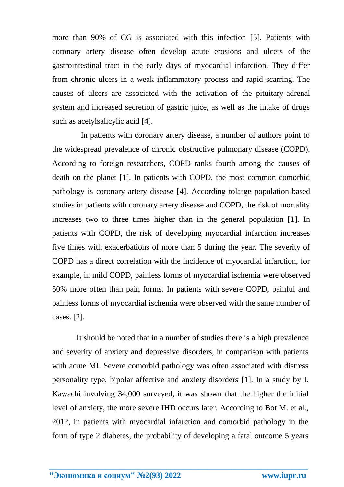more than 90% of CG is associated with this infection [\[5\]](#page-3-0). Patients with coronary artery disease often develop acute erosions and ulcers of the gastrointestinal tract in the early days of myocardial infarction. They differ from chronic ulcers in a weak inflammatory process and rapid scarring. The causes of ulcers are associated with the activation of the pituitary-adrenal system and increased secretion of gastric juice, as well as the intake of drugs such as acetylsalicylic acid [\[4\]](#page-4-0).

In patients with coronary artery disease, a number of authors point to the widespread prevalence of chronic obstructive pulmonary disease (COPD). According to foreign researchers, COPD ranks fourth among the causes of death on the planet [1]. In patients with COPD, the most common comorbid pathology is coronary artery disease [4]. According tolarge population-based studies in patients with coronary artery disease and COPD, the risk of mortality increases two to three times higher than in the general population [1]. In patients with COPD, the risk of developing myocardial infarction increases five times with exacerbations of more than 5 during the year. The severity of COPD has a direct correlation with the incidence of myocardial infarction, for example, in mild COPD, painless forms of myocardial ischemia were observed 50% more often than pain forms. In patients with severe COPD, painful and painless forms of myocardial ischemia were observed with the same number of cases. [2].

It should be noted that in a number of studies there is a high prevalence and severity of anxiety and depressive disorders, in comparison with patients with acute MI. Severe comorbid pathology was often associated with distress personality type, bipolar affective and anxiety disorders [1]. In a study by I. Kawachi involving 34,000 surveyed, it was shown that the higher the initial level of anxiety, the more severe IHD occurs later. According to Bot M. et al., 2012, in patients with myocardial infarction and comorbid pathology in the form of type 2 diabetes, the probability of developing a fatal outcome 5 years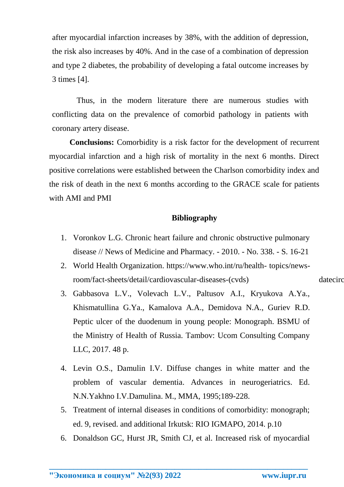after myocardial infarction increases by 38%, with the addition of depression, the risk also increases by 40%. And in the case of a combination of depression and type 2 diabetes, the probability of developing a fatal outcome increases by 3 times [4].

Thus, in the modern literature there are numerous studies with conflicting data on the prevalence of comorbid pathology in patients with coronary artery disease.

**Conclusions:** Comorbidity is a risk factor for the development of recurrent myocardial infarction and a high risk of mortality in the next 6 months. Direct positive correlations were established between the Charlson comorbidity index and the risk of death in the next 6 months according to the GRACE scale for patients with AMI and PMI

## **Bibliography**

- 1. Voronkov L.G. Chronic heart failure and chronic obstructive pulmonary disease // News of Medicine and Pharmacy. - 2010. - No. 338. - S. 16-21
- 2. World Health Organization. https:/[/www.who.int/ru/health-](http://www.who.int/ru/health-) topics/newsroom/fact-sheets/detail/cardiovascular-diseases-(cvds) datecirculation: 04/08/2019.
- <span id="page-3-0"></span>3. Gabbasova L.V., Volevach L.V., Paltusov A.I., Kryukova A.Ya., Khismatullina G.Ya., Kamalova A.A., Demidova N.A., Guriev R.D. Peptic ulcer of the duodenum in young people: Monograph. BSMU of the Ministry of Health of Russia. Tambov: Ucom Consulting Company LLC, 2017. 48 p.
- 4. Levin O.S., Damulin I.V. Diffuse changes in white matter and the problem of vascular dementia. Advances in neurogeriatrics. Ed. N.N.Yakhno I.V.Damulina. M., MMA, 1995;189-228.
- 5. Treatment of internal diseases in conditions of comorbidity: monograph; ed. 9, revised. and additional Irkutsk: RIO IGMAPO, 2014. p.10
- 6. Donaldson GC, Hurst JR, Smith CJ, et al. Increased risk of myocardial